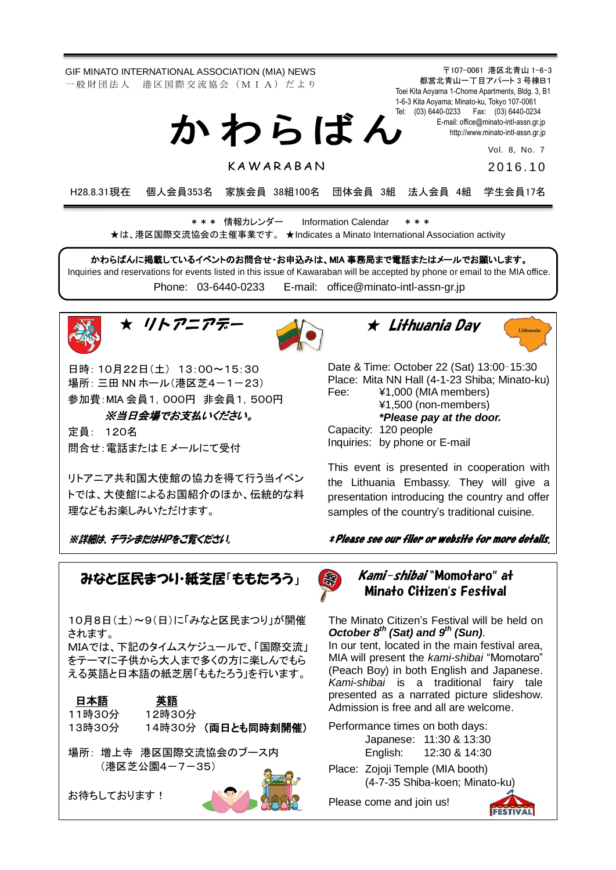GIF MINATO INTERNATIONAL ASSOCIATION (MIA) NEWS 一般財団法人 港区国際交流協会 (MIA) だより

か わ ら ば ん

K A W A R A B A N

Toei Kita Aoyama 1-Chome Apartments, Bldg. 3, B1 1-6-3 Kita Aoyama; Minato-ku, Tokyo 107-0061 Tel: (03) 6440-0233 Fax: (03) 6440-0234 E-mail[: office@minato-intl-assn.gr.jp](mailto:office@minato-intl-assn.gr.jp) [http://www.minato-intl-assn.gr.jp](http://www.minato-intl-assn.gr.jp/) Vol. 8, No. 7

〒107-0061 港区北青山 1-6-3 都営北青山一丁目アパート 3 号棟B1

201 6 . 1 0

H28.8.31現在 個人会員353名 家族会員 38組100名 団体会員 3組 法人会員 4組 学生会員17名

\* \* \* 情報カレンダー Information Calendar \* \* \* ★は、港区国際交流協会の主催事業です。 ★Indicates a Minato International Association activity

かわらばんに掲載しているイベントのお問合せ・お申込みは、MIA 事務局まで電話またはメールでお願いします。 Inquiries and reservations for events listed in this issue of Kawaraban will be accepted by phone or email to the MIA office. Phone: [03-6440-0233](mailto:TEL:%0903-6440-0233) E-mail: [office@minato-intl-assn-gr.jp](mailto:office@minato-intl-assn-gr.jp)







日時: 10月22日(土) 13:00~15:30 場所: 三田 NN ホール (港区芝4-1-23) 参加費:MIA 会員1,000円 非会員1,500円

## ※当日会場でお支払いください。

定員: 120名 問合せ:電話または E メールにて受付

リトアニア共和国大使館の協力を得て行う当イベン トでは、大使館によるお国紹介のほか、伝統的な料 理などもお楽しみいただけます。

※詳細は、チラシまたはHPをご覧ください。

みなと区民まつり・紙芝居「ももたろう」

10月8日(土)~9(日)に「みなと区民まつり」が開催 されます。

MIAでは、下記のタイムスケジュールで、「国際交流」 をテーマに子供から大人まで多くの方に楽しんでもら える英語と日本語の紙芝居「ももたろう」を行います。



お待ちしております!



★ Lithuania Day



Date & Time: October 22 (Sat) 13:00–15:30 Place: Mita NN Hall (4-1-23 Shiba; Minato-ku) Fee: ¥1,000 (MIA members) ¥1,500 (non-members) *\*Please pay at the door.* Capacity: 120 people Inquiries: by phone or E-mail

This event is presented in cooperation with the Lithuania Embassy. They will give a presentation introducing the country and offer samples of the country's traditional cuisine.

\* Please see our flier or website for more details.



## Kami-shibai "Momotaro" at Minato Citizen's Festival

The Minato Citizen's Festival will be held on *October 8th (Sat) and 9 th (Sun)*. In our tent, located in the main festival area, MIA will present the *kami-shibai* "Momotaro" (Peach Boy) in both English and Japanese. *Kami-shibai* is a traditional fairy tale presented as a narrated picture slideshow. Admission is free and all are welcome.

Performance times on both days: Japanese: 11:30 & 13:30 English: 12:30 & 14:30

Place: Zojoji Temple (MIA booth) (4-7-35 Shiba-koen; Minato-ku)

Please come and join us!